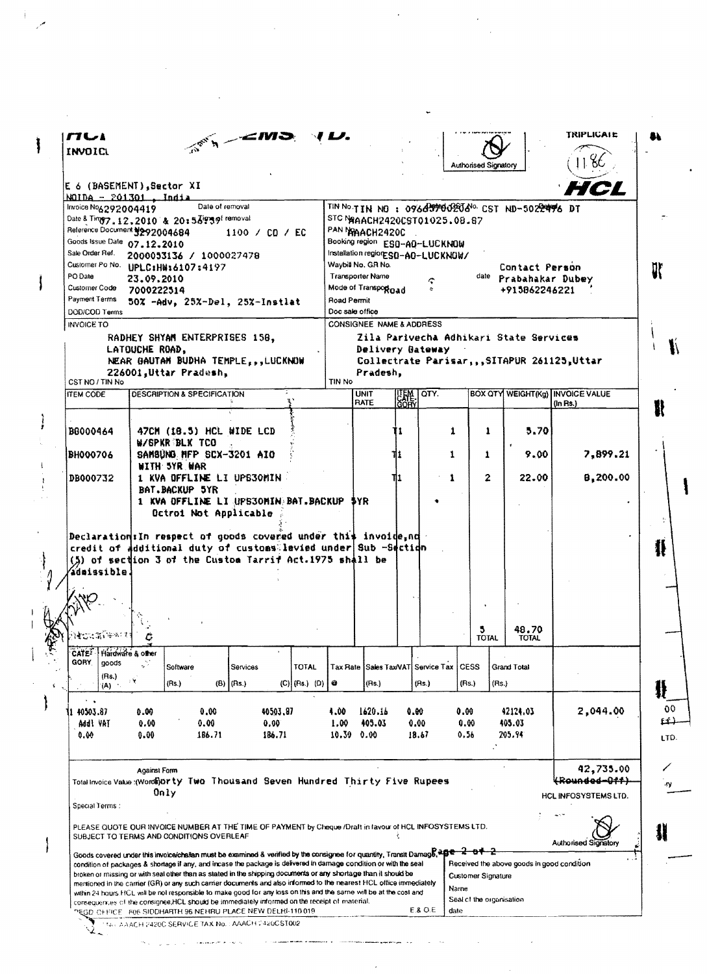| INVOICL                                                                                                                                                                                                                                                                                                                                                                                                                                                                                                                                                                                                                                                                                                                                                                                                                                                                                                                                                                                                                                                                                                                                                                                                                                               |                     |                                                              |                 |             |                |                 |                                                                                  |                                                           |                      |               |              |                             |                                            | TRIPLICAIE                                  |  |
|-------------------------------------------------------------------------------------------------------------------------------------------------------------------------------------------------------------------------------------------------------------------------------------------------------------------------------------------------------------------------------------------------------------------------------------------------------------------------------------------------------------------------------------------------------------------------------------------------------------------------------------------------------------------------------------------------------------------------------------------------------------------------------------------------------------------------------------------------------------------------------------------------------------------------------------------------------------------------------------------------------------------------------------------------------------------------------------------------------------------------------------------------------------------------------------------------------------------------------------------------------|---------------------|--------------------------------------------------------------|-----------------|-------------|----------------|-----------------|----------------------------------------------------------------------------------|-----------------------------------------------------------|----------------------|---------------|--------------|-----------------------------|--------------------------------------------|---------------------------------------------|--|
|                                                                                                                                                                                                                                                                                                                                                                                                                                                                                                                                                                                                                                                                                                                                                                                                                                                                                                                                                                                                                                                                                                                                                                                                                                                       |                     |                                                              |                 |             |                |                 |                                                                                  |                                                           |                      |               |              | <b>Authorised Signatory</b> |                                            |                                             |  |
| E 6 (BASEMENT),Sector XI                                                                                                                                                                                                                                                                                                                                                                                                                                                                                                                                                                                                                                                                                                                                                                                                                                                                                                                                                                                                                                                                                                                                                                                                                              |                     |                                                              |                 |             |                |                 |                                                                                  |                                                           |                      |               |              |                             |                                            | HCL                                         |  |
| $NOTDA = 201301$ . India<br>Invoice Nog 292004419                                                                                                                                                                                                                                                                                                                                                                                                                                                                                                                                                                                                                                                                                                                                                                                                                                                                                                                                                                                                                                                                                                                                                                                                     |                     |                                                              | Date of removal |             |                |                 |                                                                                  |                                                           |                      |               |              |                             |                                            |                                             |  |
| Date & Ting7.12.2010 & 20:53939f removal                                                                                                                                                                                                                                                                                                                                                                                                                                                                                                                                                                                                                                                                                                                                                                                                                                                                                                                                                                                                                                                                                                                                                                                                              |                     |                                                              |                 |             |                |                 | TIN NO.TIN NO: 096699902050600 CST ND-5022496 DT<br>STC NAAACH2420CST01025.08.87 |                                                           |                      |               |              |                             |                                            |                                             |  |
|                                                                                                                                                                                                                                                                                                                                                                                                                                                                                                                                                                                                                                                                                                                                                                                                                                                                                                                                                                                                                                                                                                                                                                                                                                                       |                     | Reference Document #292004684<br>1100 / CO / EC              |                 |             |                |                 | PAN MAACH2420C<br>Booking region ES0-AO-LUCKNOW                                  |                                                           |                      |               |              |                             |                                            |                                             |  |
| Goods Issue Date 07.12.2010<br>Sale Order Ref.                                                                                                                                                                                                                                                                                                                                                                                                                                                                                                                                                                                                                                                                                                                                                                                                                                                                                                                                                                                                                                                                                                                                                                                                        |                     |                                                              |                 |             |                |                 |                                                                                  |                                                           |                      |               |              |                             |                                            |                                             |  |
| Customer Po No. UPLC:H#16107:4197                                                                                                                                                                                                                                                                                                                                                                                                                                                                                                                                                                                                                                                                                                                                                                                                                                                                                                                                                                                                                                                                                                                                                                                                                     |                     | 2000053136 / 1000027478                                      |                 |             |                |                 |                                                                                  | Installation region: SO-AO-LUCKNOW/<br>Waybill No. GR No. |                      |               |              |                             | Contact Person                             |                                             |  |
| PO Date                                                                                                                                                                                                                                                                                                                                                                                                                                                                                                                                                                                                                                                                                                                                                                                                                                                                                                                                                                                                                                                                                                                                                                                                                                               | 23.09.2010          |                                                              |                 |             |                |                 |                                                                                  | Transporter Name                                          |                      |               |              |                             | date Prabahakar Dubey                      |                                             |  |
| Customer Code                                                                                                                                                                                                                                                                                                                                                                                                                                                                                                                                                                                                                                                                                                                                                                                                                                                                                                                                                                                                                                                                                                                                                                                                                                         | 7000222514          |                                                              |                 |             |                |                 | Mode of Transport gad                                                            |                                                           |                      |               |              |                             | +915862246221                              |                                             |  |
| Payment Terms                                                                                                                                                                                                                                                                                                                                                                                                                                                                                                                                                                                                                                                                                                                                                                                                                                                                                                                                                                                                                                                                                                                                                                                                                                         |                     | 50% -Adv, 25%-Del, 25%-Instlat                               |                 |             |                |                 | Road Permit                                                                      |                                                           |                      |               |              |                             |                                            |                                             |  |
| DOD/COD Terms                                                                                                                                                                                                                                                                                                                                                                                                                                                                                                                                                                                                                                                                                                                                                                                                                                                                                                                                                                                                                                                                                                                                                                                                                                         |                     |                                                              |                 |             |                |                 | Doc sale office                                                                  |                                                           |                      |               |              |                             |                                            |                                             |  |
| <b>INVOICE TO</b>                                                                                                                                                                                                                                                                                                                                                                                                                                                                                                                                                                                                                                                                                                                                                                                                                                                                                                                                                                                                                                                                                                                                                                                                                                     |                     |                                                              |                 |             |                |                 |                                                                                  | <b>CONSIGNEE NAME &amp; ADDRESS</b>                       |                      |               |              |                             | Zila Parivecha Adhikari State Services     |                                             |  |
|                                                                                                                                                                                                                                                                                                                                                                                                                                                                                                                                                                                                                                                                                                                                                                                                                                                                                                                                                                                                                                                                                                                                                                                                                                                       | LATOUCHE ROAD.      | RADHEY SHYAM ENTERPRISES 158,                                |                 |             |                |                 |                                                                                  | Delivery Gateway                                          |                      |               |              |                             |                                            |                                             |  |
|                                                                                                                                                                                                                                                                                                                                                                                                                                                                                                                                                                                                                                                                                                                                                                                                                                                                                                                                                                                                                                                                                                                                                                                                                                                       |                     | NEAR GAUTAM BUDHA TEMPLE.,,LUCKNOW                           |                 |             |                |                 |                                                                                  |                                                           |                      |               |              |                             |                                            | Collectrate Parisar, ,,SITAPUR 261125,Uttar |  |
|                                                                                                                                                                                                                                                                                                                                                                                                                                                                                                                                                                                                                                                                                                                                                                                                                                                                                                                                                                                                                                                                                                                                                                                                                                                       |                     | 226001, Uttar Pradesh,                                       |                 |             |                |                 | TIN No                                                                           | Pradesh.                                                  |                      |               |              |                             |                                            |                                             |  |
| CST NO / TIN No<br><b>ITEM CODE</b>                                                                                                                                                                                                                                                                                                                                                                                                                                                                                                                                                                                                                                                                                                                                                                                                                                                                                                                                                                                                                                                                                                                                                                                                                   |                     | <b>DESCRIPTION &amp; SPECIFICATION</b>                       |                 |             |                |                 |                                                                                  | <b>UNIT</b>                                               |                      | TOTY.         |              |                             |                                            | <b>BOX QTY WEIGHT(Kg) INVOICE VALUE</b>     |  |
|                                                                                                                                                                                                                                                                                                                                                                                                                                                                                                                                                                                                                                                                                                                                                                                                                                                                                                                                                                                                                                                                                                                                                                                                                                                       |                     |                                                              |                 |             |                |                 |                                                                                  | <b>RATE</b>                                               | <b>UEME.</b><br>GORY |               |              |                             |                                            | $(In$ $Rs.)$                                |  |
|                                                                                                                                                                                                                                                                                                                                                                                                                                                                                                                                                                                                                                                                                                                                                                                                                                                                                                                                                                                                                                                                                                                                                                                                                                                       |                     |                                                              |                 |             |                |                 |                                                                                  |                                                           |                      |               |              |                             |                                            |                                             |  |
| 80000464                                                                                                                                                                                                                                                                                                                                                                                                                                                                                                                                                                                                                                                                                                                                                                                                                                                                                                                                                                                                                                                                                                                                                                                                                                              |                     | 47CM (18.5) HCL WIDE LCD                                     |                 |             |                |                 |                                                                                  |                                                           | 11                   |               | 1            | 1                           | 5.70                                       |                                             |  |
| <b>BH000706</b>                                                                                                                                                                                                                                                                                                                                                                                                                                                                                                                                                                                                                                                                                                                                                                                                                                                                                                                                                                                                                                                                                                                                                                                                                                       |                     | W/SPKR BLK TCO<br>SAMBUNG MFP SCX-3201 AIO                   |                 |             |                |                 |                                                                                  |                                                           | 11.                  |               | 1            | 1                           | 9.00                                       | 7.899.21                                    |  |
|                                                                                                                                                                                                                                                                                                                                                                                                                                                                                                                                                                                                                                                                                                                                                                                                                                                                                                                                                                                                                                                                                                                                                                                                                                                       |                     | WITH 5YR WAR                                                 |                 |             |                |                 |                                                                                  |                                                           |                      |               |              |                             |                                            |                                             |  |
| <b>DB000732</b>                                                                                                                                                                                                                                                                                                                                                                                                                                                                                                                                                                                                                                                                                                                                                                                                                                                                                                                                                                                                                                                                                                                                                                                                                                       |                     | 1 KVA OFFLINE LI UPS30MIN                                    |                 |             |                |                 |                                                                                  |                                                           | 111                  |               |              | $\mathbf{2}$                | 22.00                                      | 8,200.00                                    |  |
|                                                                                                                                                                                                                                                                                                                                                                                                                                                                                                                                                                                                                                                                                                                                                                                                                                                                                                                                                                                                                                                                                                                                                                                                                                                       |                     | BAT.BACKUP 5YR<br>1 KVA OFFLINE LI UPS30MIN BAT. BACKUP \$YR |                 |             |                |                 |                                                                                  |                                                           |                      |               |              |                             |                                            |                                             |  |
|                                                                                                                                                                                                                                                                                                                                                                                                                                                                                                                                                                                                                                                                                                                                                                                                                                                                                                                                                                                                                                                                                                                                                                                                                                                       |                     | Octroi Not Applicable                                        |                 |             |                |                 |                                                                                  |                                                           |                      |               |              |                             |                                            |                                             |  |
|                                                                                                                                                                                                                                                                                                                                                                                                                                                                                                                                                                                                                                                                                                                                                                                                                                                                                                                                                                                                                                                                                                                                                                                                                                                       |                     |                                                              |                 |             |                |                 |                                                                                  |                                                           |                      |               |              |                             |                                            |                                             |  |
|                                                                                                                                                                                                                                                                                                                                                                                                                                                                                                                                                                                                                                                                                                                                                                                                                                                                                                                                                                                                                                                                                                                                                                                                                                                       |                     |                                                              |                 |             |                |                 |                                                                                  |                                                           |                      |               |              | 5<br><b>TOTAL</b>           | 48.70<br><b>TOTAL</b>                      |                                             |  |
|                                                                                                                                                                                                                                                                                                                                                                                                                                                                                                                                                                                                                                                                                                                                                                                                                                                                                                                                                                                                                                                                                                                                                                                                                                                       | Hardware & other    |                                                              |                 |             |                |                 |                                                                                  |                                                           |                      |               |              |                             |                                            |                                             |  |
| goods                                                                                                                                                                                                                                                                                                                                                                                                                                                                                                                                                                                                                                                                                                                                                                                                                                                                                                                                                                                                                                                                                                                                                                                                                                                 |                     | Software                                                     |                 | Services    |                | <b>TOTAL</b>    |                                                                                  | Tax Rate Sales Tax/VAT Service Tax                        |                      |               | <b>CESS</b>  |                             | Grand Total                                |                                             |  |
| (Rs.)<br>(A)                                                                                                                                                                                                                                                                                                                                                                                                                                                                                                                                                                                                                                                                                                                                                                                                                                                                                                                                                                                                                                                                                                                                                                                                                                          | 上聲                  | (Rs.)                                                        |                 | (B)   (Rs.) |                | $(C)$ (Rs.) (D) | $\bullet$                                                                        | (Rs.)                                                     |                      | (Rs.)         | (Rs.)        | (Rs.)                       |                                            |                                             |  |
|                                                                                                                                                                                                                                                                                                                                                                                                                                                                                                                                                                                                                                                                                                                                                                                                                                                                                                                                                                                                                                                                                                                                                                                                                                                       |                     |                                                              |                 |             |                |                 |                                                                                  |                                                           |                      |               |              |                             |                                            |                                             |  |
| 40503.87                                                                                                                                                                                                                                                                                                                                                                                                                                                                                                                                                                                                                                                                                                                                                                                                                                                                                                                                                                                                                                                                                                                                                                                                                                              | 0.00                |                                                              | 0.00            |             | 40503.87       |                 | 4.00                                                                             | 1620.16                                                   | 0.00                 |               | 0.00         |                             | 42124.03                                   | 2,044.00                                    |  |
| Addl VAT<br>0.00                                                                                                                                                                                                                                                                                                                                                                                                                                                                                                                                                                                                                                                                                                                                                                                                                                                                                                                                                                                                                                                                                                                                                                                                                                      | 0.00<br>0.00        |                                                              | 0.00<br>186.71  |             | 0.00<br>186.71 |                 | 1.00 <sub>1</sub><br>10.39                                                       | 405.03<br>0.00                                            |                      | 0.00<br>18.67 | 0.00<br>0.56 |                             | 405.03<br>205.94                           |                                             |  |
|                                                                                                                                                                                                                                                                                                                                                                                                                                                                                                                                                                                                                                                                                                                                                                                                                                                                                                                                                                                                                                                                                                                                                                                                                                                       |                     |                                                              |                 |             |                |                 |                                                                                  |                                                           |                      |               |              |                             |                                            |                                             |  |
|                                                                                                                                                                                                                                                                                                                                                                                                                                                                                                                                                                                                                                                                                                                                                                                                                                                                                                                                                                                                                                                                                                                                                                                                                                                       |                     |                                                              |                 |             |                |                 |                                                                                  |                                                           |                      |               |              |                             |                                            |                                             |  |
|                                                                                                                                                                                                                                                                                                                                                                                                                                                                                                                                                                                                                                                                                                                                                                                                                                                                                                                                                                                                                                                                                                                                                                                                                                                       | <b>Against Form</b> |                                                              |                 |             |                |                 |                                                                                  |                                                           |                      |               |              |                             |                                            | 42,735.00<br><del>(Rounded-Off)</del>       |  |
|                                                                                                                                                                                                                                                                                                                                                                                                                                                                                                                                                                                                                                                                                                                                                                                                                                                                                                                                                                                                                                                                                                                                                                                                                                                       |                     | Only                                                         |                 |             |                |                 |                                                                                  |                                                           |                      |               |              |                             |                                            | HCL INFOSYSTEMS LTD.                        |  |
|                                                                                                                                                                                                                                                                                                                                                                                                                                                                                                                                                                                                                                                                                                                                                                                                                                                                                                                                                                                                                                                                                                                                                                                                                                                       |                     |                                                              |                 |             |                |                 |                                                                                  |                                                           |                      |               |              |                             |                                            |                                             |  |
|                                                                                                                                                                                                                                                                                                                                                                                                                                                                                                                                                                                                                                                                                                                                                                                                                                                                                                                                                                                                                                                                                                                                                                                                                                                       |                     |                                                              |                 |             |                |                 |                                                                                  |                                                           |                      |               |              |                             |                                            |                                             |  |
|                                                                                                                                                                                                                                                                                                                                                                                                                                                                                                                                                                                                                                                                                                                                                                                                                                                                                                                                                                                                                                                                                                                                                                                                                                                       |                     |                                                              |                 |             |                |                 |                                                                                  |                                                           |                      |               |              |                             |                                            | <b>Authorised Signatory</b>                 |  |
|                                                                                                                                                                                                                                                                                                                                                                                                                                                                                                                                                                                                                                                                                                                                                                                                                                                                                                                                                                                                                                                                                                                                                                                                                                                       |                     |                                                              |                 |             |                |                 |                                                                                  |                                                           |                      |               |              |                             | Received the above goods in good condition |                                             |  |
|                                                                                                                                                                                                                                                                                                                                                                                                                                                                                                                                                                                                                                                                                                                                                                                                                                                                                                                                                                                                                                                                                                                                                                                                                                                       |                     |                                                              |                 |             |                |                 |                                                                                  |                                                           |                      |               |              | Customer Signature          |                                            |                                             |  |
| Declaration: In respect of goods covered under this invoide, nd<br>credit of additional duty of customs levied under Sub -Section<br>(5) of section 3 of the Custom Tarrit Act. 1975 shall be<br>admissible.<br><b>Alexandra</b><br>CATE <sup>T</sup><br>GORY.<br>Total Invoice Value:(WordE) Orty Two Thousand Seven Hundred Thirty Five Rupees<br>Special Terms :<br>PLEASE QUOTE OUR INVOICE NUMBER AT THE TIME OF PAYMENT by Cheque /Draft in favour of HCL INFOSYSTEMS LTD.<br>SUBJECT TO TERMS AND CONDITIONS OVERLEAF<br>Goods covered under this invoice/challan must be examined & verified by the consignee for quantity, Transit Damage, epe-2 of 2<br>condition of packages & shortage if any, and incase the package is delivered in damage condition or with the seal<br>broken or missing or with seal other than as stated in the shipping documents or any shortage than it should be<br>mentioned in the carrier (GR) or any such carrier documents and also informed to the nearest HCL office immediately<br>within 24 hours. HCL will be not responsible to make good for any loss on this and the same will be at the cost and<br>consequences of the consignee, HCL should be immediately informed on the receipt of material. |                     |                                                              |                 |             |                |                 |                                                                                  |                                                           |                      |               | Name         | Seal of the organisation    |                                            |                                             |  |

 $\frac{1}{\sqrt{2}}\sum_{i=1}^{n-1}\frac{1}{\sqrt{2}}\sum_{i=1}^{n-1}\frac{1}{\sqrt{2}}\sum_{i=1}^{n-1}\frac{1}{\sqrt{2}}\sum_{i=1}^{n-1}\frac{1}{\sqrt{2}}\sum_{i=1}^{n-1}\frac{1}{\sqrt{2}}\sum_{i=1}^{n-1}\frac{1}{\sqrt{2}}\sum_{i=1}^{n-1}\frac{1}{\sqrt{2}}\sum_{i=1}^{n-1}\frac{1}{\sqrt{2}}\sum_{i=1}^{n-1}\frac{1}{\sqrt{2}}\sum_{i=1}^{n-1}\frac{1}{\sqrt{2}}$ 

 $\frac{1}{2}$ 

 $\frac{1}{\sqrt{2}}\sum_{i=1}^{n} \frac{1}{\sqrt{2}}\left(\frac{1}{\sqrt{2}}\right)^2\left(\frac{1}{\sqrt{2}}\right)^2.$ 

 $\mathbf{I}$ 

 $\frac{1}{\sqrt{2}}$ 

 $\begin{matrix} \dot{\mathbf{I}} \end{matrix}$ 

 $\begin{array}{c} 1 \\ 1 \end{array}$ 

 $\mathbf{I}$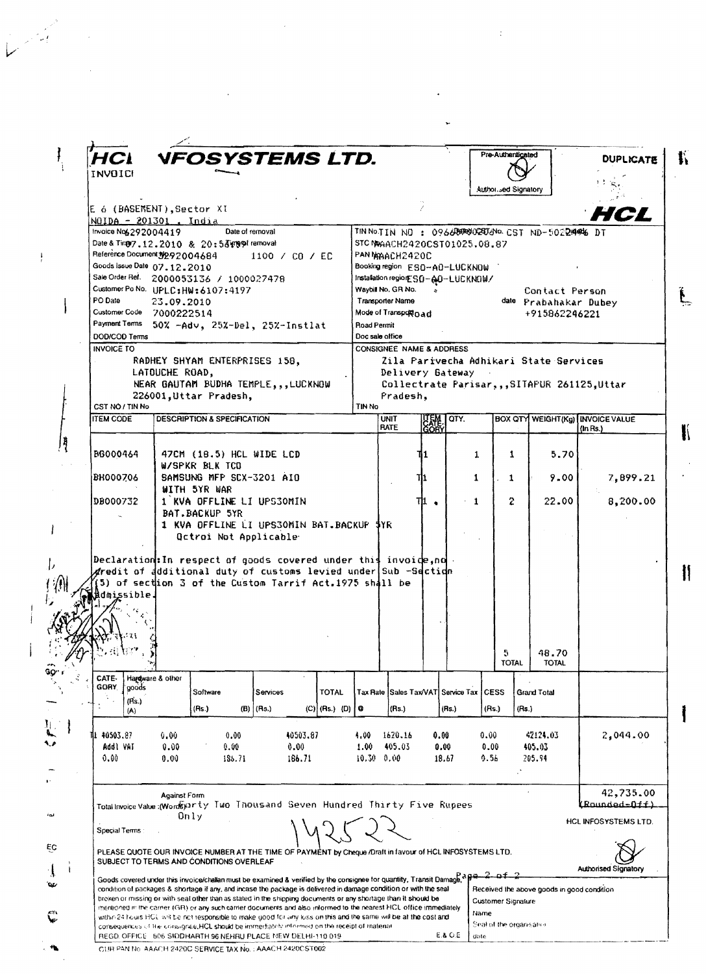| <b>INVOICH</b>                                                         |                                          |                             | NFOSYSTEMS LTD.                                                                                                                                                                                                                                                                                                                                                                                                                                                                                                                                                                                                                                                                                                                                                                  |                                                                                       |                                                        |                       |                                           | Pre-Authenticated                                                     |              |                                                  | <b>DUPLICATE</b>                           |  |
|------------------------------------------------------------------------|------------------------------------------|-----------------------------|----------------------------------------------------------------------------------------------------------------------------------------------------------------------------------------------------------------------------------------------------------------------------------------------------------------------------------------------------------------------------------------------------------------------------------------------------------------------------------------------------------------------------------------------------------------------------------------------------------------------------------------------------------------------------------------------------------------------------------------------------------------------------------|---------------------------------------------------------------------------------------|--------------------------------------------------------|-----------------------|-------------------------------------------|-----------------------------------------------------------------------|--------------|--------------------------------------------------|--------------------------------------------|--|
|                                                                        |                                          |                             |                                                                                                                                                                                                                                                                                                                                                                                                                                                                                                                                                                                                                                                                                                                                                                                  |                                                                                       |                                                        |                       |                                           | Author sed Signatory                                                  |              |                                                  |                                            |  |
|                                                                        |                                          |                             |                                                                                                                                                                                                                                                                                                                                                                                                                                                                                                                                                                                                                                                                                                                                                                                  |                                                                                       |                                                        |                       |                                           |                                                                       |              |                                                  |                                            |  |
| E 6 (BASEMENT).Sector XI<br>NOIDA - 201301, India                      |                                          |                             |                                                                                                                                                                                                                                                                                                                                                                                                                                                                                                                                                                                                                                                                                                                                                                                  |                                                                                       |                                                        |                       |                                           |                                                                       |              |                                                  | HCL                                        |  |
| Invoice No6292004419                                                   |                                          | Date of removal             |                                                                                                                                                                                                                                                                                                                                                                                                                                                                                                                                                                                                                                                                                                                                                                                  |                                                                                       |                                                        |                       |                                           |                                                                       |              | TIN NOTIN NO: 096680000200000 CST ND-50224446 DT |                                            |  |
| Date & Ting 7.12.2010 & 20:53 mg 91 removal                            |                                          |                             |                                                                                                                                                                                                                                                                                                                                                                                                                                                                                                                                                                                                                                                                                                                                                                                  |                                                                                       |                                                        |                       | STC NAACH2420CST01025.08.87               |                                                                       |              |                                                  |                                            |  |
| Reference Document N292004684                                          |                                          |                             | 1100 / CO / EC                                                                                                                                                                                                                                                                                                                                                                                                                                                                                                                                                                                                                                                                                                                                                                   |                                                                                       | PAN MAACH2420C                                         |                       |                                           |                                                                       |              |                                                  |                                            |  |
| Goods Issue Date 07.12.2010<br>Sale Order Ref. 2000053136 / 1000027478 |                                          |                             |                                                                                                                                                                                                                                                                                                                                                                                                                                                                                                                                                                                                                                                                                                                                                                                  |                                                                                       |                                                        |                       | Booking region ESO-A0-LUCKNOW             |                                                                       |              |                                                  |                                            |  |
| Customer Po No. UPLC: HW: 6107:4197                                    |                                          |                             |                                                                                                                                                                                                                                                                                                                                                                                                                                                                                                                                                                                                                                                                                                                                                                                  | Installation regior ESO-AO-LUCKNOW/<br>Waybill No. GR No.<br>Contact Person<br>$\sim$ |                                                        |                       |                                           |                                                                       |              |                                                  |                                            |  |
| PO Date                                                                | 23.09.2010                               |                             |                                                                                                                                                                                                                                                                                                                                                                                                                                                                                                                                                                                                                                                                                                                                                                                  |                                                                                       |                                                        | date Prabahakar Dubey |                                           |                                                                       |              |                                                  |                                            |  |
| Customer Code 7000222514                                               |                                          |                             | Transporter Name<br>Mode of Transport Dad                                                                                                                                                                                                                                                                                                                                                                                                                                                                                                                                                                                                                                                                                                                                        |                                                                                       |                                                        |                       |                                           | +915862246221                                                         |              |                                                  |                                            |  |
| PaymentTerms 50% -Adv, 25%-Del, 25%-Instlat                            |                                          |                             |                                                                                                                                                                                                                                                                                                                                                                                                                                                                                                                                                                                                                                                                                                                                                                                  |                                                                                       | Road Permit                                            |                       |                                           |                                                                       |              |                                                  |                                            |  |
| DOD/COD Terms<br><b>INVOICE TO</b>                                     |                                          |                             |                                                                                                                                                                                                                                                                                                                                                                                                                                                                                                                                                                                                                                                                                                                                                                                  |                                                                                       | Doc sale office<br><b>CONSIGNEE NAME &amp; ADDRESS</b> |                       |                                           |                                                                       |              |                                                  |                                            |  |
|                                                                        | RADHEY SHYAM ENTERPRISES 158,            |                             |                                                                                                                                                                                                                                                                                                                                                                                                                                                                                                                                                                                                                                                                                                                                                                                  |                                                                                       |                                                        |                       |                                           |                                                                       |              | Zila Parivecha Adhikari State Services           |                                            |  |
|                                                                        | LATOUCHE ROAD,                           |                             |                                                                                                                                                                                                                                                                                                                                                                                                                                                                                                                                                                                                                                                                                                                                                                                  |                                                                                       |                                                        |                       | Delivery Gateway                          |                                                                       |              |                                                  |                                            |  |
|                                                                        |                                          |                             | NEAR GAUTAM BUDHA TEMPLE, , , LUCKNOW                                                                                                                                                                                                                                                                                                                                                                                                                                                                                                                                                                                                                                                                                                                                            |                                                                                       |                                                        |                       |                                           |                                                                       |              |                                                  | Collectrate Parisar,,,SITAPUR 261125,Uttar |  |
|                                                                        | 226001, Uttar Pradesh,                   |                             |                                                                                                                                                                                                                                                                                                                                                                                                                                                                                                                                                                                                                                                                                                                                                                                  |                                                                                       | Pradesh,                                               |                       |                                           |                                                                       |              |                                                  |                                            |  |
| CST NO / TIN No<br><b>ITEM CODE</b>                                    |                                          | DESCRIPTION & SPECIFICATION |                                                                                                                                                                                                                                                                                                                                                                                                                                                                                                                                                                                                                                                                                                                                                                                  | TIN No                                                                                | <b>UNIT</b>                                            |                       | QTY.                                      |                                                                       |              |                                                  | BOX QTY WEIGHT(Kg) INVOICE VALUE           |  |
|                                                                        |                                          |                             |                                                                                                                                                                                                                                                                                                                                                                                                                                                                                                                                                                                                                                                                                                                                                                                  |                                                                                       | <b>RATE</b>                                            | UEM<br>GORY           |                                           |                                                                       |              |                                                  | (ln Rs.)                                   |  |
|                                                                        |                                          |                             |                                                                                                                                                                                                                                                                                                                                                                                                                                                                                                                                                                                                                                                                                                                                                                                  |                                                                                       |                                                        |                       |                                           |                                                                       |              |                                                  |                                            |  |
| BG000464                                                               |                                          | 47CM (18.5) HCL WIDE LCD    |                                                                                                                                                                                                                                                                                                                                                                                                                                                                                                                                                                                                                                                                                                                                                                                  |                                                                                       |                                                        | ١1                    |                                           | 1                                                                     | $\mathbf{1}$ | 5.70                                             |                                            |  |
|                                                                        | W/SPKR BLK TCO                           |                             |                                                                                                                                                                                                                                                                                                                                                                                                                                                                                                                                                                                                                                                                                                                                                                                  |                                                                                       |                                                        |                       |                                           |                                                                       |              |                                                  |                                            |  |
| <b>BH000706</b>                                                        | WITH 5YR WAR                             | SAMSUNG MFP SCX-3201 AIO    |                                                                                                                                                                                                                                                                                                                                                                                                                                                                                                                                                                                                                                                                                                                                                                                  |                                                                                       |                                                        | 111                   |                                           | 1                                                                     | $\mathbf{1}$ | 9.00                                             | 7,899.21                                   |  |
| DB000732                                                               |                                          | 1 KVA OFFLINE LI UPS30MIN   |                                                                                                                                                                                                                                                                                                                                                                                                                                                                                                                                                                                                                                                                                                                                                                                  |                                                                                       |                                                        | ℡.                    | $-1$                                      |                                                                       | $\mathbf{2}$ | 22.00                                            | 8,200.00                                   |  |
|                                                                        | BAT BACKUP 5YR                           |                             |                                                                                                                                                                                                                                                                                                                                                                                                                                                                                                                                                                                                                                                                                                                                                                                  |                                                                                       |                                                        |                       |                                           |                                                                       |              |                                                  |                                            |  |
|                                                                        |                                          |                             | 1 KVA OFFLINE LI UPS30MIN BAT BACKUP                                                                                                                                                                                                                                                                                                                                                                                                                                                                                                                                                                                                                                                                                                                                             |                                                                                       | 3YR.                                                   |                       |                                           |                                                                       |              |                                                  |                                            |  |
|                                                                        |                                          | Qctroi Not Applicable       |                                                                                                                                                                                                                                                                                                                                                                                                                                                                                                                                                                                                                                                                                                                                                                                  |                                                                                       |                                                        |                       |                                           |                                                                       |              |                                                  |                                            |  |
|                                                                        |                                          |                             | $\operatorname{\mathsf{z}redit}$ of <code>additional</code> duty of customs levied under <code>[Sub</code> -S <code>ection</code>                                                                                                                                                                                                                                                                                                                                                                                                                                                                                                                                                                                                                                                | Declaration: In respect of goods covered under this invoide, no $\cdot$               |                                                        |                       |                                           |                                                                       |              |                                                  |                                            |  |
| dmissible<br>Q 134 M 6<br>$\mathbf{1}$                                 |                                          |                             | $(5)$ of sec $\frac{1}{1000}$ $3$ of the Custom Tarrif Act.1975 shall be                                                                                                                                                                                                                                                                                                                                                                                                                                                                                                                                                                                                                                                                                                         |                                                                                       |                                                        |                       |                                           | D.                                                                    |              | 48.70                                            |                                            |  |
|                                                                        |                                          |                             |                                                                                                                                                                                                                                                                                                                                                                                                                                                                                                                                                                                                                                                                                                                                                                                  |                                                                                       |                                                        |                       |                                           |                                                                       | <b>TOTAL</b> | <b>TOTAL</b>                                     |                                            |  |
| CATE-<br>GORY.<br>goods                                                | Hardware & other                         |                             |                                                                                                                                                                                                                                                                                                                                                                                                                                                                                                                                                                                                                                                                                                                                                                                  |                                                                                       |                                                        |                       |                                           |                                                                       |              |                                                  |                                            |  |
| (Rs.)                                                                  | Software                                 |                             | Services                                                                                                                                                                                                                                                                                                                                                                                                                                                                                                                                                                                                                                                                                                                                                                         | TOTAL                                                                                 |                                                        |                       | Tax Rate Sales Tax/VAT Service Tax   CESS |                                                                       |              | Grand Total                                      |                                            |  |
| (A)                                                                    | (Rs.)                                    | (B)   (Rs.)                 |                                                                                                                                                                                                                                                                                                                                                                                                                                                                                                                                                                                                                                                                                                                                                                                  | $(C)$ (Rs.) (D)<br>G                                                                  | (Rs.)                                                  |                       | (Rs.)                                     | (Rs.)                                                                 | (Rs.)        |                                                  |                                            |  |
| 40503.87<br>Addl VAT<br>0.00                                           | 0.00<br>0.00<br>0.00                     | 0.00<br>0.00<br>185.71      | 40503.87<br>0.00<br>186.71                                                                                                                                                                                                                                                                                                                                                                                                                                                                                                                                                                                                                                                                                                                                                       | 4.00<br>1.00                                                                          | 1620.16<br>405.03<br>$10.30 - 0.00$                    |                       | 0.00<br>0.00<br>18.67                     | 0.00<br>0.00<br>9.56                                                  |              | 42124.03<br>405.03<br>205.94                     | 2.044.00                                   |  |
|                                                                        | Against Form                             |                             |                                                                                                                                                                                                                                                                                                                                                                                                                                                                                                                                                                                                                                                                                                                                                                                  |                                                                                       |                                                        |                       |                                           |                                                                       |              |                                                  |                                            |  |
|                                                                        | Only                                     |                             | Total Invoice Value (Wordsyarty Two Thousand Seven Hundred Thirty Five Rupees                                                                                                                                                                                                                                                                                                                                                                                                                                                                                                                                                                                                                                                                                                    |                                                                                       |                                                        |                       |                                           |                                                                       |              |                                                  | 42,735.00<br>(Rounded=Off)                 |  |
| Special Terms:                                                         |                                          |                             |                                                                                                                                                                                                                                                                                                                                                                                                                                                                                                                                                                                                                                                                                                                                                                                  |                                                                                       |                                                        |                       |                                           |                                                                       |              |                                                  | HCL INFOSYSTEMS LTD.                       |  |
|                                                                        | SUBJECT TO TERMS AND CONDITIONS OVERLEAF |                             | PLEASE QUOTE OUR INVOICE NUMBER AT THE TIME OF PAYMENT by Cheque /Draft in favour of HCL INFOSYSTEMS LTD.                                                                                                                                                                                                                                                                                                                                                                                                                                                                                                                                                                                                                                                                        |                                                                                       |                                                        |                       |                                           |                                                                       |              |                                                  | Authorised Signatory                       |  |
|                                                                        |                                          |                             | Goods covered under this invoice/challan must be examined & verified by the consignee for quantity, Transit Damage, a p-2-of-<br>condition of packages & shortage if any, and incase the package is delivered in damage condition or with the seal<br>broken or missing or with seal other than as stated in the shipping documents or any shortage than it should be<br>mentioned in the carner (GR) or any such carrier documents and also informed to the nearest HCL office immediately<br>within 24 hours HCL will be not responsible to make good for any loss on this and the same will be at the cost and<br>consequences of the consignee, HCL should be immediately informed on the receipt of material<br>REGD, OFFICE 806 SIDDHARTH 96 NEHRU PLACE NEW DELHI-110 019 |                                                                                       |                                                        |                       | E.& O.E                                   | <b>Customer Signature</b><br>Name<br>Seal of the organisation<br>date |              | Received the above goods in good condition       |                                            |  |

 $\label{eq:2.1} \frac{1}{\sqrt{2}}\int_{\mathbb{R}^3}\frac{1}{\sqrt{2}}\left(\frac{1}{\sqrt{2}}\right)^2\frac{1}{\sqrt{2}}\left(\frac{1}{\sqrt{2}}\right)^2\frac{1}{\sqrt{2}}\left(\frac{1}{\sqrt{2}}\right)^2\frac{1}{\sqrt{2}}\left(\frac{1}{\sqrt{2}}\right)^2.$ 

 $\frac{1}{2} \sum_{i=1}^{n} \frac{1}{2} \sum_{j=1}^{n} \frac{1}{2} \sum_{j=1}^{n} \frac{1}{2} \sum_{j=1}^{n} \frac{1}{2} \sum_{j=1}^{n} \frac{1}{2} \sum_{j=1}^{n} \frac{1}{2} \sum_{j=1}^{n} \frac{1}{2} \sum_{j=1}^{n} \frac{1}{2} \sum_{j=1}^{n} \frac{1}{2} \sum_{j=1}^{n} \frac{1}{2} \sum_{j=1}^{n} \frac{1}{2} \sum_{j=1}^{n} \frac{1}{2} \sum_{j=1}^{n$ 

 $\frac{1}{2}$ 

 $\mathcal{L}^{(2)}$ 

 $\frac{1}{2}$ 

 $\mathcal{L}^{\text{max}}_{\text{max}}$  and  $\mathcal{L}^{\text{max}}_{\text{max}}$ 

 $\label{eq:2.1} \frac{1}{\sqrt{2\pi}}\int_{\mathbb{R}^3}\frac{d\mu}{\sqrt{2\pi}}\left(\frac{d\mu}{\mu}\right)^2\frac{d\mu}{\mu}\left(\frac{d\mu}{\mu}\right)^2\frac{d\mu}{\mu}\left(\frac{d\mu}{\mu}\right)^2.$ 

 $\ddot{\phantom{0}}$